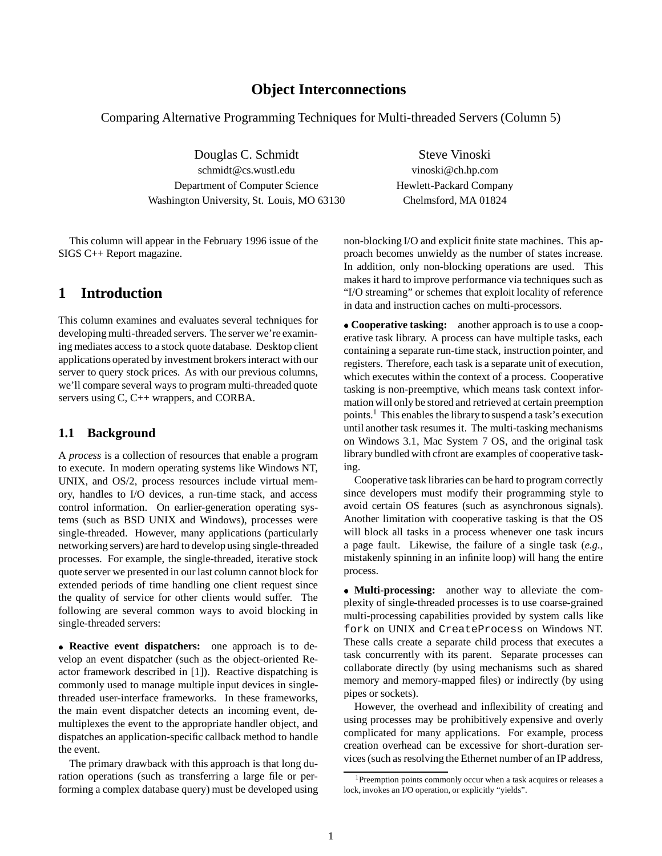## **Object Interconnections**

Comparing Alternative Programming Techniques for Multi-threaded Servers (Column 5)

Douglas C. Schmidt Steve Vinoski schmidt@cs.wustl.edu vinoski@ch.hp.com Department of Computer Science Hewlett-Packard Company Washington University, St. Louis, MO 63130 Chelmsford, MA 01824

This column will appear in the February 1996 issue of the SIGS C++ Report magazine.

## **1 Introduction**

This column examines and evaluates several techniques for developing multi-threaded servers. The server we're examining mediates access to a stock quote database. Desktop client applications operated by investment brokers interact with our server to query stock prices. As with our previous columns, we'll compare several ways to program multi-threaded quote servers using C, C++ wrappers, and CORBA.

### **1.1 Background**

A *process* is a collection of resources that enable a program to execute. In modern operating systems like Windows NT, UNIX, and OS/2, process resources include virtual memory, handles to I/O devices, a run-time stack, and access control information. On earlier-generation operating systems (such as BSD UNIX and Windows), processes were single-threaded. However, many applications (particularly networking servers) are hard to develop using single-threaded processes. For example, the single-threaded, iterative stock quote server we presented in our last column cannot block for extended periods of time handling one client request since the quality of service for other clients would suffer. The following are several common ways to avoid blocking in single-threaded servers:

 **Reactive event dispatchers:** one approach is to develop an event dispatcher (such as the object-oriented Reactor framework described in [1]). Reactive dispatching is commonly used to manage multiple input devices in singlethreaded user-interface frameworks. In these frameworks, the main event dispatcher detects an incoming event, demultiplexes the event to the appropriate handler object, and dispatches an application-specific callback method to handle the event.

The primary drawback with this approach is that long duration operations (such as transferring a large file or performing a complex database query) must be developed using non-blocking I/O and explicit finite state machines. This approach becomes unwieldy as the number of states increase. In addition, only non-blocking operations are used. This makes it hard to improve performance via techniques such as "I/O streaming" or schemes that exploit locality of reference in data and instruction caches on multi-processors.

 **Cooperative tasking:** another approach is to use a cooperative task library. A process can have multiple tasks, each containing a separate run-time stack, instruction pointer, and registers. Therefore, each task is a separate unit of execution, which executes within the context of a process. Cooperative tasking is non-preemptive, which means task context information will only be stored and retrieved at certain preemption points.1 This enables the library to suspend a task's execution until another task resumes it. The multi-tasking mechanisms on Windows 3.1, Mac System 7 OS, and the original task library bundled with cfront are examples of cooperative tasking.

Cooperative task libraries can be hard to program correctly since developers must modify their programming style to avoid certain OS features (such as asynchronous signals). Another limitation with cooperative tasking is that the OS will block all tasks in a process whenever one task incurs a page fault. Likewise, the failure of a single task (*e.g.,* mistakenly spinning in an infinite loop) will hang the entire process.

 **Multi-processing:** another way to alleviate the complexity of single-threaded processes is to use coarse-grained multi-processing capabilities provided by system calls like fork on UNIX and CreateProcess on Windows NT. These calls create a separate child process that executes a task concurrently with its parent. Separate processes can collaborate directly (by using mechanisms such as shared memory and memory-mapped files) or indirectly (by using pipes or sockets).

However, the overhead and inflexibility of creating and using processes may be prohibitively expensive and overly complicated for many applications. For example, process creation overhead can be excessive for short-duration services (such as resolving the Ethernet number of an IP address,

<sup>&</sup>lt;sup>1</sup>Preemption points commonly occur when a task acquires or releases a lock, invokes an I/O operation, or explicitly "yields".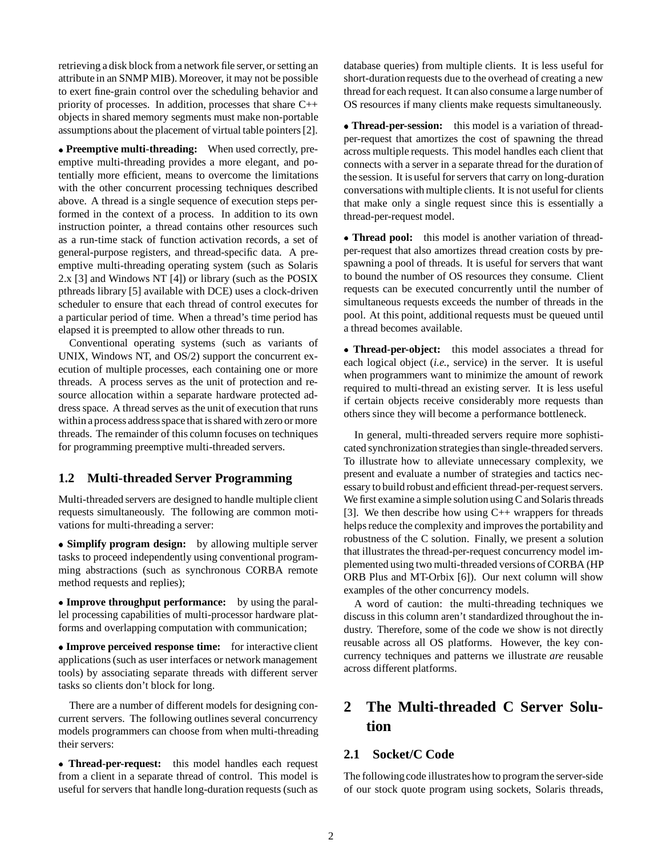retrieving a disk block from a network file server, or setting an attribute in an SNMP MIB). Moreover, it may not be possible to exert fine-grain control over the scheduling behavior and priority of processes. In addition, processes that share C++ objects in shared memory segments must make non-portable assumptions about the placement of virtual table pointers [2].

 **Preemptive multi-threading:** When used correctly, preemptive multi-threading provides a more elegant, and potentially more efficient, means to overcome the limitations with the other concurrent processing techniques described above. A thread is a single sequence of execution steps performed in the context of a process. In addition to its own instruction pointer, a thread contains other resources such as a run-time stack of function activation records, a set of general-purpose registers, and thread-specific data. A preemptive multi-threading operating system (such as Solaris 2.x [3] and Windows NT [4]) or library (such as the POSIX pthreads library [5] available with DCE) uses a clock-driven scheduler to ensure that each thread of control executes for a particular period of time. When a thread's time period has elapsed it is preempted to allow other threads to run.

Conventional operating systems (such as variants of UNIX, Windows NT, and OS/2) support the concurrent execution of multiple processes, each containing one or more threads. A process serves as the unit of protection and resource allocation within a separate hardware protected address space. A thread serves as the unit of execution that runs within a process address space that is shared with zero or more threads. The remainder of this column focuses on techniques for programming preemptive multi-threaded servers.

### **1.2 Multi-threaded Server Programming**

Multi-threaded servers are designed to handle multiple client requests simultaneously. The following are common motivations for multi-threading a server:

 **Simplify program design:** by allowing multiple server tasks to proceed independently using conventional programming abstractions (such as synchronous CORBA remote method requests and replies);

• Improve throughput performance: by using the parallel processing capabilities of multi-processor hardware platforms and overlapping computation with communication;

 **Improve perceived response time:** for interactive client applications (such as user interfaces or network management tools) by associating separate threads with different server tasks so clients don't block for long.

There are a number of different models for designing concurrent servers. The following outlines several concurrency models programmers can choose from when multi-threading their servers:

 **Thread-per-request:** this model handles each request from a client in a separate thread of control. This model is useful for servers that handle long-duration requests (such as database queries) from multiple clients. It is less useful for short-duration requests due to the overhead of creating a new thread for each request. It can also consume a large number of OS resources if many clients make requests simultaneously.

 **Thread-per-session:** this model is a variation of threadper-request that amortizes the cost of spawning the thread across multiple requests. This model handles each client that connects with a server in a separate thread for the duration of the session. It is useful for servers that carry on long-duration conversations with multiple clients. It is not useful for clients that make only a single request since this is essentially a thread-per-request model.

 **Thread pool:** this model is another variation of threadper-request that also amortizes thread creation costs by prespawning a pool of threads. It is useful for servers that want to bound the number of OS resources they consume. Client requests can be executed concurrently until the number of simultaneous requests exceeds the number of threads in the pool. At this point, additional requests must be queued until a thread becomes available.

 **Thread-per-object:** this model associates a thread for each logical object (*i.e.,* service) in the server. It is useful when programmers want to minimize the amount of rework required to multi-thread an existing server. It is less useful if certain objects receive considerably more requests than others since they will become a performance bottleneck.

In general, multi-threaded servers require more sophisticated synchronization strategies than single-threaded servers. To illustrate how to alleviate unnecessary complexity, we present and evaluate a number of strategies and tactics necessary to build robust and efficient thread-per-request servers. We first examine a simple solution using C and Solaris threads [3]. We then describe how using  $C_{++}$  wrappers for threads helps reduce the complexity and improves the portabilityand robustness of the C solution. Finally, we present a solution that illustrates the thread-per-request concurrency model implemented using two multi-threaded versions of CORBA (HP ORB Plus and MT-Orbix [6]). Our next column will show examples of the other concurrency models.

A word of caution: the multi-threading techniques we discuss in this column aren't standardized throughout the industry. Therefore, some of the code we show is not directly reusable across all OS platforms. However, the key concurrency techniques and patterns we illustrate *are* reusable across different platforms.

# **2 The Multi-threaded C Server Solution**

### **2.1 Socket/C Code**

The following code illustrates how to program the server-side of our stock quote program using sockets, Solaris threads,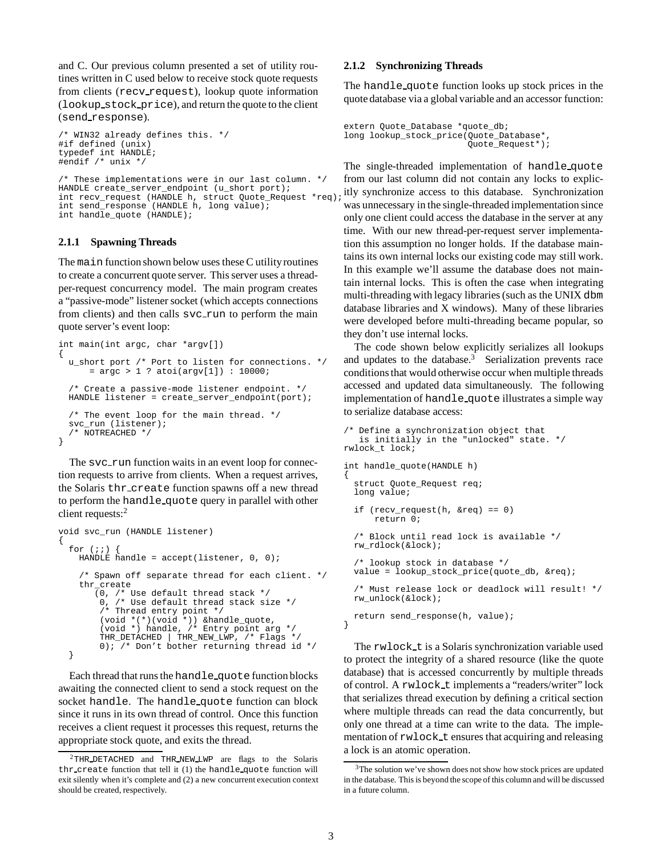and C. Our previous column presented a set of utility routines written in C used below to receive stock quote requests from clients (recv request), lookup quote information (lookup stock price), and return the quote to the client (send response).

```
/* WIN32 already defines this. */
#if defined (unix)
typedef int HANDLE;
#endif /* unix */
/* These implementations were in our last column. */
```
HANDLE create\_server\_endpoint (u\_short port); int recv\_request (HANDLE h, struct Quote\_Request \*req); int send response (HANDLE h, long value);  $int$  handle\_quote (HANDLE);

#### **2.1.1 Spawning Threads**

The main function shown below uses these C utilityroutines to create a concurrent quote server. This server uses a threadper-request concurrency model. The main program creates a "passive-mode" listener socket (which accepts connections from clients) and then calls svc\_run to perform the main quote server's event loop:

```
int main(int argc, char *argv[])
{
 u short port /* Port to listen for connections. */
      = \arg c > 1 ? atoi(argv[1]) : 10000;
  /* Create a passive-mode listener endpoint. */
 HANDLE listener = create_server_endpoint(port);
  /* The event loop for the main thread. */
 svc_run (listener);
  /* NOTREACHED */
}
```
The svc\_run function waits in an event loop for connection requests to arrive from clients. When a request arrives, the Solaris thr create function spawns off a new thread to perform the handle quote query in parallel with other client requests:<sup>2</sup>

```
void svc_run (HANDLE listener)
{
  for (i; j)HANDLE handle = accept(listener, 0, 0);/* Spawn off separate thread for each client. */
    thr_create
       (0, /* Use default thread stack */
        0, /* Use default thread stack size */
        /* Thread entry point */
        (void *(*)(void *)) &handle_quote,
        (void *) handle, /* Entry point arg */
        THR_DETACHED | THR_NEW_LWP, /* Flags */
        0); /* Don't bother returning thread id */
  }
```
Each thread that runs the handle quote function blocks awaiting the connected client to send a stock request on the socket handle. The handle quote function can block since it runs in its own thread of control. Once this function receives a client request it processes this request, returns the appropriate stock quote, and exits the thread.

#### **2.1.2 Synchronizing Threads**

The handle quote function looks up stock prices in the quote database via a global variable and an accessor function:

```
extern Quote_Database *quote_db;
long lookup_stock_price(Quote_Database*,
                        Quote_Request*);
```
The single-threaded implementation of handle quote from our last column did not contain any locks to explicitly synchronize access to this database. Synchronization was unnecessary in the single-threaded implementation since only one client could access the database in the server at any time. With our new thread-per-request server implementation this assumption no longer holds. If the database maintains its own internal locks our existing code may still work. In this example we'll assume the database does not maintain internal locks. This is often the case when integrating multi-threading with legacy libraries (such as the UNIX dbm database libraries and X windows). Many of these libraries were developed before multi-threading became popular, so they don't use internal locks.

The code shown below explicitly serializes all lookups and updates to the database. $3$  Serialization prevents race conditions that would otherwise occur when multiple threads accessed and updated data simultaneously. The following implementation of handle quote illustrates a simple way to serialize database access:

```
/* Define a synchronization object that
   is initially in the "unlocked" state. */
rwlock_t lock;
int handle quote(HANDLE h)
{
 struct Quote_Request req;
 long value;
  if (recv_request(h, &req) == 0)
      return 0;
  /* Block until read lock is available */
 rw_rdlock(&lock);
  /* lookup stock in database */
 value = lookup_stock_price(quote_db, &req);
  /* Must release lock or deadlock will result! */
  rw_unlock(&lock);
 return send_response(h, value);
}
```
The rwlock t is a Solaris synchronization variable used to protect the integrity of a shared resource (like the quote database) that is accessed concurrently by multiple threads of control. A rwlock t implements a "readers/writer" lock that serializes thread execution by defining a critical section where multiple threads can read the data concurrently, but only one thread at a time can write to the data. The implementation of rwlock t ensures that acquiring and releasing a lock is an atomic operation.

 $2$ THR DETACHED and THR NEW LWP are flags to the Solaris thr create function that tell it (1) the handle quote function will exit silently when it's complete and (2) a new concurrent execution context should be created, respectively.

<sup>&</sup>lt;sup>3</sup>The solution we've shown does not show how stock prices are updated in the database. This is beyond the scope of this column and will be discussed in a future column.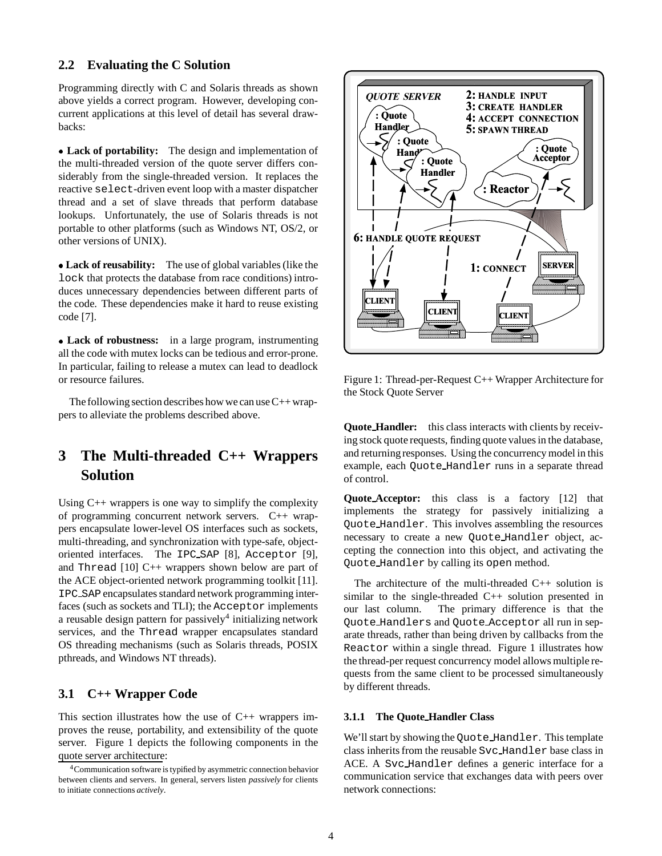#### **2.2 Evaluating the C Solution**

Programming directly with C and Solaris threads as shown above yields a correct program. However, developing concurrent applications at this level of detail has several drawbacks:

 **Lack of portability:** The design and implementation of the multi-threaded version of the quote server differs considerably from the single-threaded version. It replaces the reactive select-driven event loop with a master dispatcher thread and a set of slave threads that perform database lookups. Unfortunately, the use of Solaris threads is not portable to other platforms (such as Windows NT, OS/2, or other versions of UNIX).

 **Lack of reusability:** The use of global variables (like the lock that protects the database from race conditions) introduces unnecessary dependencies between different parts of the code. These dependencies make it hard to reuse existing code [7].

 **Lack of robustness:** in a large program, instrumenting all the code with mutex locks can be tedious and error-prone. In particular, failing to release a mutex can lead to deadlock or resource failures.

The following section describes how we can use  $C++$  wrappers to alleviate the problems described above.

# **3 The Multi-threaded C++ Wrappers Solution**

Using C++ wrappers is one way to simplify the complexity of programming concurrent network servers. C++ wrappers encapsulate lower-level OS interfaces such as sockets, multi-threading, and synchronization with type-safe, objectoriented interfaces. The IPC SAP [8], Acceptor [9], and Thread [10] C++ wrappers shown below are part of the ACE object-oriented network programming toolkit [11]. IPC SAP encapsulates standard network programming interfaces (such as sockets and TLI); the Acceptor implements a reusable design pattern for passively $4$  initializing network services, and the Thread wrapper encapsulates standard OS threading mechanisms (such as Solaris threads, POSIX pthreads, and Windows NT threads).

## **3.1 C++ Wrapper Code**

This section illustrates how the use of  $C++$  wrappers improves the reuse, portability, and extensibility of the quote server. Figure 1 depicts the following components in the quote server architecture:



Figure 1: Thread-per-Request C++ Wrapper Architecture for the Stock Quote Server

**Quote Handler:** this class interacts with clients by receiving stock quote requests, finding quote values in the database, and returning responses. Using the concurrency model in this example, each Quote Handler runs in a separate thread of control.

**Quote Acceptor:** this class is a factory [12] that implements the strategy for passively initializing a Quote Handler. This involves assembling the resources necessary to create a new Quote Handler object, accepting the connection into this object, and activating the Quote Handler by calling its open method.

The architecture of the multi-threaded C++ solution is similar to the single-threaded C++ solution presented in our last column. The primary difference is that the Quote Handlers and Quote Acceptor all run in separate threads, rather than being driven by callbacks from the Reactor within a single thread. Figure 1 illustrates how the thread-per request concurrency model allows multiple requests from the same client to be processed simultaneously by different threads.

#### **3.1.1 The Quote Handler Class**

We'll start by showing the Quote Handler. This template class inherits from the reusable Svc Handler base class in ACE. A Svc Handler defines a generic interface for a communication service that exchanges data with peers over network connections:

<sup>4</sup>Communication software is typified by asymmetric connection behavior between clients and servers. In general, servers listen *passively* for clients to initiate connections *actively*.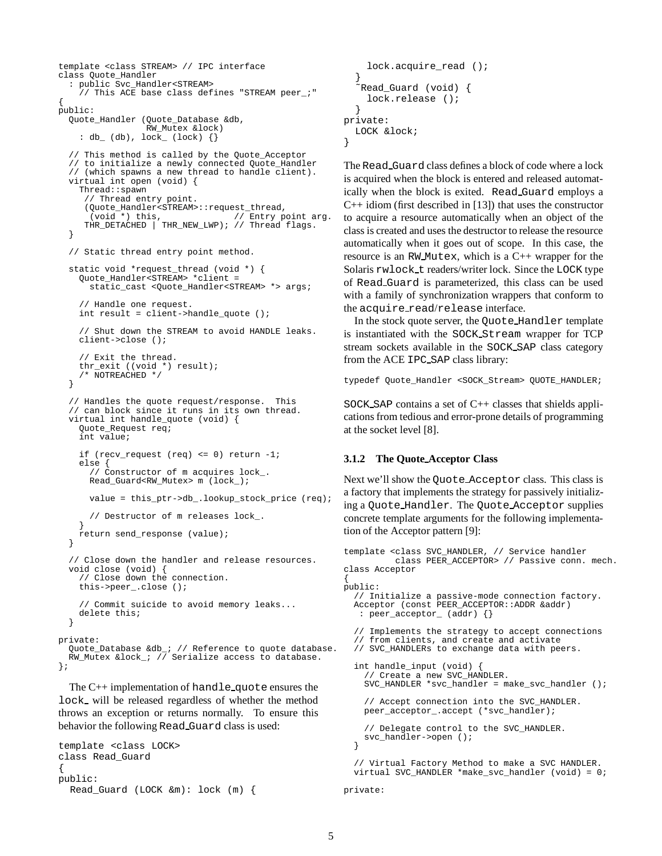```
template <class STREAM> // IPC interface
class Quote_Handler
  : public Svc_Handler<STREAM>
    // This ACE base class defines "STREAM peer_;"
{
public:
  Quote_Handler (Quote_Database &db,
                  RW_Mutex &lock)
    : \texttt{db}\_\texttt{(db)} , \texttt{lock}\_\texttt{(lock)} {}
  // This method is called by the Quote_Acceptor
  // to initialize a newly connected Quote_Handler
  // (which spawns a new thread to handle client).
  virtual int open (void) {
    Thread::spawn
     // Thread entry point.
     (Quote_Handler<STREAM>::request_thread,
                                    // Entry point arg.
     THR_DETACHED | THR_NEW_LWP); // Thread flags.
  }
  // Static thread entry point method.
  static void *request_thread (void *) {
    Quote_Handler<STREAM> *client =
      static_cast <Quote_Handler<STREAM> *> args;
    // Handle one request.
    int result = client->handle_quote ();
    // Shut down the STREAM to avoid HANDLE leaks.
    client->close ();
    // Exit the thread.
    thr_exit ((void *) result);
    /* NOTREACHED */
  }
  // Handles the quote request/response. This
    can block since it runs in its own thread.
  virtual int handle_quote (void) {
    Quote_Request req;
    int value;
    if (recv_request (req) <= 0) return -1;
    else {
      // Constructor of m acquires lock_.
      Read_Guard<RW_Mutex> m (lock_);
      value = this_ptr->db_.lookup_stock_price (req);
      // Destructor of m releases lock_.
    }
    return send_response (value);
  }
  // Close down the handler and release resources.
  void close (void) {
    // Close down the connection.
    this->peer_.close ();
    // Commit suicide to avoid memory leaks...
    delete this;
  }
private:
  Quote_Database &db_; // Reference to quote database.
  RW_Mutex &lock_; // Serialize access to database.
};
  The C_{++} implementation of handle quote ensures the
lock will be released regardless of whether the method
throws an exception or returns normally. To ensure this
behavior the following Read Guard class is used:
```

```
template <class LOCK>
class Read_Guard
{
public:
  Read_Guard (LOCK &m): lock (m) {
```

```
lock.acquire_read ();
  }
   ˜Read_Guard (void) {
    lock.release ();
  }
private:
  LOCK &lock;
}
```
The Read Guard class defines a block of code where a lock is acquired when the block is entered and released automatically when the block is exited. Read Guard employs a  $C++$  idiom (first described in [13]) that uses the constructor to acquire a resource automatically when an object of the class is created and uses the destructor to release the resource automatically when it goes out of scope. In this case, the resource is an RW Mutex, which is a C++ wrapper for the Solaris rwlock t readers/writer lock. Since the LOCK type of Read Guard is parameterized, this class can be used with a family of synchronization wrappers that conform to the acquire read/release interface.

In the stock quote server, the Quote Handler template is instantiated with the SOCK Stream wrapper for TCP stream sockets available in the SOCK SAP class category from the ACE IPC SAP class library:

typedef Quote\_Handler <SOCK\_Stream> QUOTE\_HANDLER;

SOCK SAP contains a set of C++ classes that shields applications from tedious and error-prone details of programming at the socket level [8].

#### **3.1.2 The Quote Acceptor Class**

Next we'll show the Quote Acceptor class. This class is a factory that implements the strategy for passively initializing a Quote Handler. The Quote Acceptor supplies concrete template arguments for the following implementation of the Acceptor pattern [9]:

```
template <class SVC_HANDLER, // Service handler
          class PEER_ACCEPTOR> // Passive conn. mech.
class Acceptor
{
public:
  // Initialize a passive-mode connection factory.
  Acceptor (const PEER_ACCEPTOR::ADDR &addr)
   : peer_acceptor_ (addr) {}
  // Implements the strategy to accept connections
  // from clients, and create and activate
  // SVC_HANDLERs to exchange data with peers.
  int handle_input (void) {
    // Create a new SVC_HANDLER.
    SVC_HANDLER *svc_handler = make_svc_handler ();
    // Accept connection into the SVC_HANDLER.
    peer_acceptor_.accept (*svc_handler);
    // Delegate control to the SVC_HANDLER.
    svc_handler->open ();
  }
  // Virtual Factory Method to make a SVC HANDLER.
  virtual SVC_HANDLER *make_svc_handler (void) = 0;
private:
```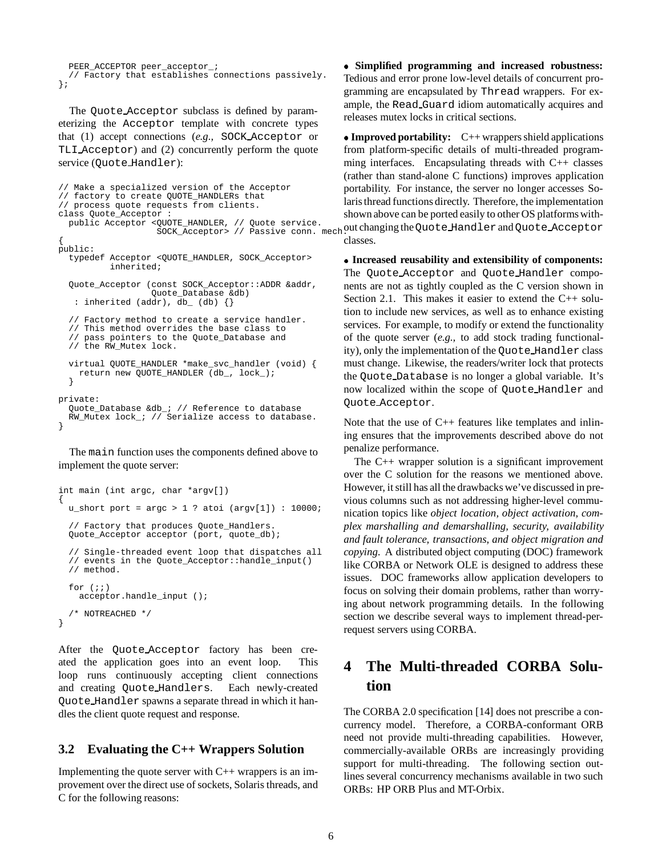```
PEER_ACCEPTOR peer_acceptor_;
  // Factory that establishes connections passively.
};
```
The Quote Acceptor subclass is defined by parameterizing the Acceptor template with concrete types that (1) accept connections (*e.g.,* SOCK Acceptor or TLI Acceptor) and (2) concurrently perform the quote service (Quote Handler):

```
// Make a specialized version of the Acceptor
// factory to create QUOTE_HANDLERs that
// process quote requests from clients.
class Quote_Acceptor :
 public Acceptor <QUOTE_HANDLER, // Quote service.
                   SOCK_Acceptor> // Passive conn. mech
{
public:
  typedef Acceptor <QUOTE_HANDLER, SOCK_Acceptor>
          inherited;
  Quote_Acceptor (const SOCK_Acceptor::ADDR &addr,
                  Quote_Database &db)
   : inherited (addr), db_ (db) {}
  // Factory method to create a service handler.
  // This method overrides the base class to
  // pass pointers to the Quote_Database and
  // the RW_Mutex lock.
  virtual QUOTE_HANDLER *make_svc_handler (void) {
    return new QUOTE_HANDLER (db_, lock_);
  }
private:
  Quote_Database &db_; // Reference to database
  RW_Mutex lock_; // Serialize access to database.
}
```
The main function uses the components defined above to implement the quote server:

```
int main (int argc, char *argv[])
{
 u_short port = \arg c > 1 ? atoi (\arg v[1]) : 10000;
  // Factory that produces Quote_Handlers.
 Quote_Acceptor acceptor (port, quote_db);
  // Single-threaded event loop that dispatches all
  // events in the Quote_Acceptor::handle_input()
 // method.
 for (i; j)acceptor.handle_input ();
  /* NOTREACHED */
}
```
After the Quote Acceptor factory has been created the application goes into an event loop. This loop runs continuously accepting client connections and creating Quote Handlers. Each newly-created Quote Handler spawns a separate thread in which it handles the client quote request and response.

### **3.2 Evaluating the C++ Wrappers Solution**

Implementing the quote server with  $C++$  wrappers is an improvement over the direct use of sockets, Solaris threads, and C for the following reasons:

 **Simplified programming and increased robustness:** Tedious and error prone low-level details of concurrent programming are encapsulated by Thread wrappers. For example, the Read Guard idiom automatically acquires and releases mutex locks in critical sections.

 **Improved portability:** C++ wrappers shield applications from platform-specific details of multi-threaded programming interfaces. Encapsulating threads with C++ classes (rather than stand-alone C functions) improves application portability. For instance, the server no longer accesses Solaris thread functions directly. Therefore, the implementation shown above can be ported easily to other OS platforms without changing the Quote Handler and Quote Acceptor classes.

 **Increased reusability and extensibility of components:** The Quote Acceptor and Quote Handler components are not as tightly coupled as the C version shown in Section 2.1. This makes it easier to extend the C++ solution to include new services, as well as to enhance existing services. For example, to modify or extend the functionality of the quote server (*e.g.,* to add stock trading functionality), only the implementation of the Quote Handler class must change. Likewise, the readers/writer lock that protects the Quote Database is no longer a global variable. It's now localized within the scope of Quote Handler and Quote Acceptor.

Note that the use of C++ features like templates and inlining ensures that the improvements described above do not penalize performance.

The C++ wrapper solution is a significant improvement over the C solution for the reasons we mentioned above. However, it still has all the drawbacks we've discussed in previous columns such as not addressing higher-level communication topics like *object location, object activation, complex marshalling and demarshalling, security, availability and fault tolerance, transactions, and object migration and copying.* A distributed object computing (DOC) framework like CORBA or Network OLE is designed to address these issues. DOC frameworks allow application developers to focus on solving their domain problems, rather than worrying about network programming details. In the following section we describe several ways to implement thread-perrequest servers using CORBA.

# **4 The Multi-threaded CORBA Solution**

The CORBA 2.0 specification [14] does not prescribe a concurrency model. Therefore, a CORBA-conformant ORB need not provide multi-threading capabilities. However, commercially-available ORBs are increasingly providing support for multi-threading. The following section outlines several concurrency mechanisms available in two such ORBs: HP ORB Plus and MT-Orbix.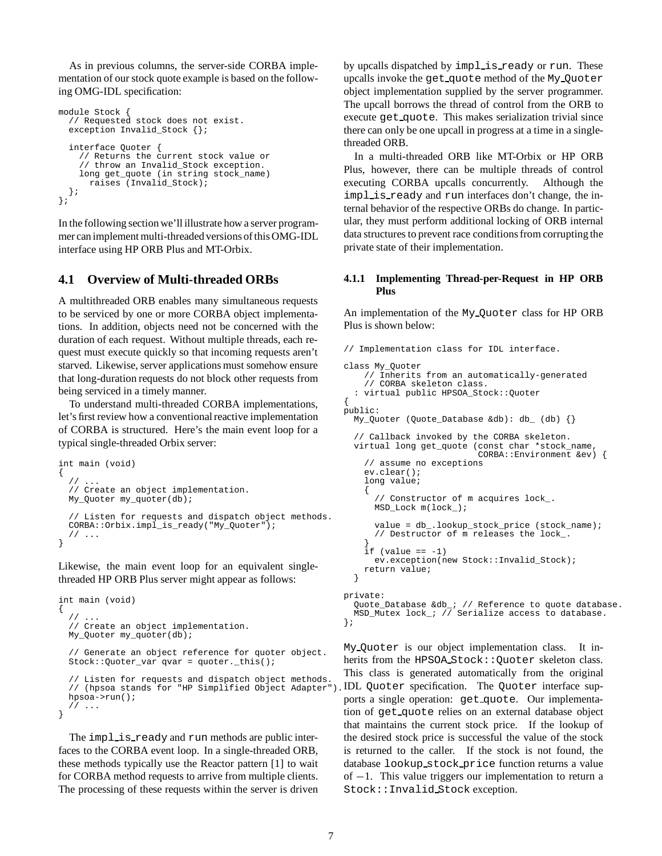As in previous columns, the server-side CORBA implementation of our stock quote example is based on the following OMG-IDL specification:

```
module Stock {
  // Requested stock does not exist.
  exception Invalid_Stock {};
  interface Quoter {
    // Returns the current stock value or
    // throw an Invalid_Stock exception.
    long get_quote (in string stock_name)
      raises (Invalid_Stock);
 };
};
```
In the following section we'll illustrate how a server programmer can implement multi-threaded versions of this OMG-IDL interface using HP ORB Plus and MT-Orbix.

#### **4.1 Overview of Multi-threaded ORBs**

A multithreaded ORB enables many simultaneous requests to be serviced by one or more CORBA object implementations. In addition, objects need not be concerned with the duration of each request. Without multiple threads, each request must execute quickly so that incoming requests aren't starved. Likewise, server applications must somehow ensure that long-duration requests do not block other requests from being serviced in a timely manner.

To understand multi-threaded CORBA implementations, let's first review how a conventional reactive implementation of CORBA is structured. Here's the main event loop for a typical single-threaded Orbix server:

```
int main (void)
{
  / /// Create an object implementation.
 My_Quoter my_quoter(db);
  // Listen for requests and dispatch object methods.
 CORBA::Orbix.impl_is_ready("My_Quoter");
 // ...
}
```
Likewise, the main event loop for an equivalent singlethreaded HP ORB Plus server might appear as follows:

```
int main (void)
{
  / /// Create an object implementation.
 My_Quoter my_quoter(db);
  // Generate an object reference for quoter object.
 Stock::Quoter_var qvar = quoter._this();
  // Listen for requests and dispatch object methods.
  // (hpsoa stands for "HP Simplified Object Adapter").
 hpsoa->run();
  // ...
}
```
The implistready and run methods are public interfaces to the CORBA event loop. In a single-threaded ORB, these methods typically use the Reactor pattern [1] to wait for CORBA method requests to arrive from multiple clients. The processing of these requests within the server is driven

by upcalls dispatched by implis ready or run. These upcalls invoke the get quote method of the My Quoter object implementation supplied by the server programmer. The upcall borrows the thread of control from the ORB to execute get quote. This makes serialization trivial since there can only be one upcall in progress at a time in a singlethreaded ORB.

In a multi-threaded ORB like MT-Orbix or HP ORB Plus, however, there can be multiple threads of control executing CORBA upcalls concurrently. Although the impl is ready and run interfaces don't change, the internal behavior of the respective ORBs do change. In particular, they must perform additional locking of ORB internal data structures to prevent race conditions from corrupting the private state of their implementation.

#### **4.1.1 Implementing Thread-per-Request in HP ORB Plus**

An implementation of the My Quoter class for HP ORB Plus is shown below:

```
// Implementation class for IDL interface.
class My_Quoter
    // Inherits from an automatically-generated
    // CORBA skeleton class.
  : virtual public HPSOA_Stock::Quoter
{
public:
 My_Quoter (Quote_Database &db): db_ (db) {}
  // Callback invoked by the CORBA skeleton.
  virtual long get_quote (const char *stock_name,
                          CORBA::Environment &ev) {
    // assume no exceptions
    ev.clear();
    long value;
    {
      // Constructor of m acquires lock_.
      MSD_Lock m(lock_);
      value = db .lookup stock price (stock name);
      // Destructor of m releases the lock_.
    }
    if (value == -1)ev.exception(new Stock::Invalid_Stock);
    return value;
  }
private:
 Quote_Database &db_; // Reference to quote database.
 MSD_Mutex lock_; // Serialize access to database.
};
```
My Quoter is our object implementation class. It inherits from the HPSOA\_Stock:: Quoter skeleton class. This class is generated automatically from the original IDL Quoter specification. The Quoter interface supports a single operation: get quote. Our implementation of get quote relies on an external database object that maintains the current stock price. If the lookup of the desired stock price is successful the value of the stock is returned to the caller. If the stock is not found, the database lookup stock price function returns a value of  $-1$ . This value triggers our implementation to return a Stock::Invalid Stock exception.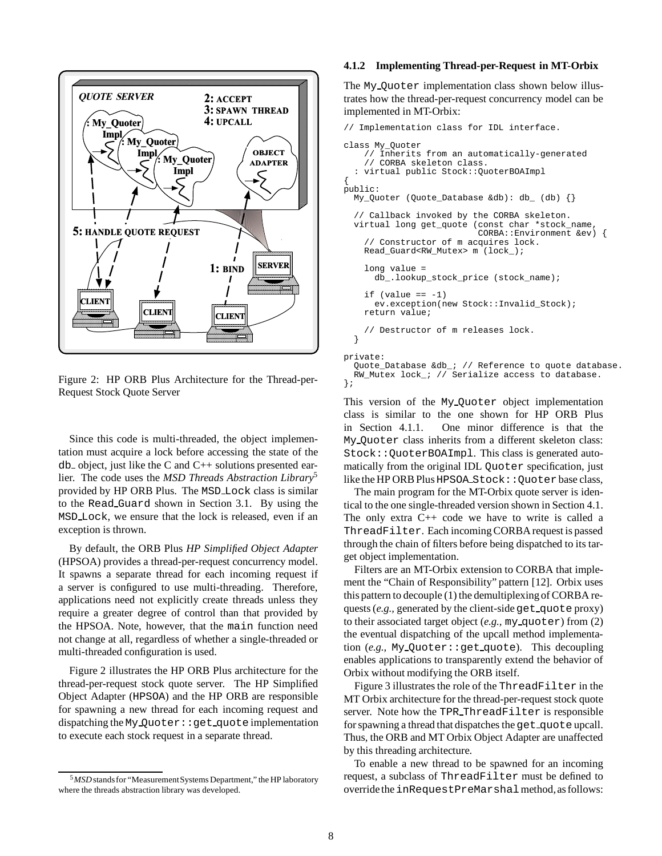

Figure 2: HP ORB Plus Architecture for the Thread-per-Request Stock Quote Server

Since this code is multi-threaded, the object implementation must acquire a lock before accessing the state of the  $db_$  object, just like the C and  $C_{++}$  solutions presented earlier. The code uses the *MSD Threads Abstraction Library*<sup>5</sup> provided by HP ORB Plus. The MSD Lock class is similar to the Read Guard shown in Section 3.1. By using the MSD Lock, we ensure that the lock is released, even if an exception is thrown.

By default, the ORB Plus *HP Simplified Object Adapter* (HPSOA) provides a thread-per-request concurrency model. It spawns a separate thread for each incoming request if a server is configured to use multi-threading. Therefore, applications need not explicitly create threads unless they require a greater degree of control than that provided by the HPSOA. Note, however, that the main function need not change at all, regardless of whether a single-threaded or multi-threaded configuration is used.

Figure 2 illustrates the HP ORB Plus architecture for the thread-per-request stock quote server. The HP Simplified Object Adapter (HPSOA) and the HP ORB are responsible for spawning a new thread for each incoming request and dispatching the My Quoter: : get quote implementation to execute each stock request in a separate thread.

#### **4.1.2 Implementing Thread-per-Request in MT-Orbix**

The My Quoter implementation class shown below illustrates how the thread-per-request concurrency model can be implemented in MT-Orbix:

```
// Implementation class for IDL interface.
class My_Quoter
    // Inherits from an automatically-generated
    // CORBA skeleton class.
  : virtual public Stock::QuoterBOAImpl
{
public:
 My_Quoter (Quote_Database &db): db_ (db) {}
  // Callback invoked by the CORBA skeleton.
 virtual long get_quote (const char *stock_name,
                          CORBA::Environment &ev) {
    // Constructor of m acquires lock.
    Read_Guard<RW_Mutex> m (lock_);
    long value =
      db_.lookup_stock_price (stock_name);
    if (ya)a = -1ev.exception(new Stock::Invalid_Stock);
    return value;
    // Destructor of m releases lock.
  }
private:
  Quote Database &db ; // Reference to quote database.
 RW_Mutex lock_; // Serialize access to database.
```
This version of the My Quoter object implementation class is similar to the one shown for HP ORB Plus in Section 4.1.1. One minor difference is that the My Quoter class inherits from a different skeleton class: Stock::QuoterBOAImpl. This class is generated automatically from the original IDL Quoter specification, just like the HP ORB Plus HPSOA\_Stock:: Quoter base class,

The main program for the MT-Orbix quote server is identical to the one single-threaded version shown in Section 4.1. The only extra  $C_{++}$  code we have to write is called a ThreadFilter. Each incoming CORBA request is passed through the chain of filters before being dispatched to its target object implementation.

Filters are an MT-Orbix extension to CORBA that implement the "Chain of Responsibility" pattern [12]. Orbix uses this pattern to decouple (1) the demultiplexingof CORBA requests (e.g., generated by the client-side get\_quote proxy) to their associated target object (*e.g.,* my quoter) from (2) the eventual dispatching of the upcall method implementation (*e.g.,* My Quoter::get quote). This decoupling enables applications to transparently extend the behavior of Orbix without modifying the ORB itself.

Figure 3 illustrates the role of the ThreadFilter in the MT Orbix architecture for the thread-per-request stock quote server. Note how the TPR ThreadFilter is responsible for spawning a thread that dispatches the get quote upcall. Thus, the ORB and MT Orbix Object Adapter are unaffected by this threading architecture.

To enable a new thread to be spawned for an incoming request, a subclass of ThreadFilter must be defined to override the inRequestPreMarshalmethod, as follows:

};

<sup>&</sup>lt;sup>5</sup> MSD stands for "Measurement Systems Department," the HP laboratory where the threads abstraction library was developed.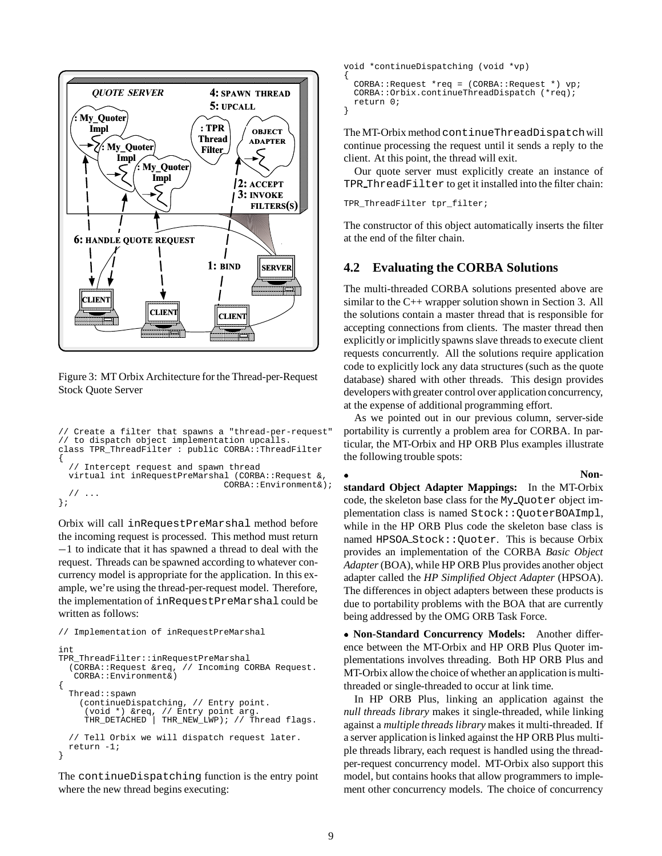

Figure 3: MT Orbix Architecture for the Thread-per-Request Stock Quote Server

```
// Create a filter that spawns a "thread-per-request"
// to dispatch object implementation upcalls.
class TPR_ThreadFilter : public CORBA::ThreadFilter
{
    Intercept request and spawn thread
  virtual int inRequestPreMarshal (CORBA::Request &,
                                CORBA::Environment&);
  // ...
};
```
Orbix will call inRequestPreMarshal method before the incoming request is processed. This method must return  $-1$  to indicate that it has spawned a thread to deal with the request. Threads can be spawned according to whatever concurrency model is appropriate for the application. In this example, we're using the thread-per-request model. Therefore, the implementation of inRequestPreMarshal could be written as follows:

```
// Implementation of inRequestPreMarshal
int
TPR_ThreadFilter::inRequestPreMarshal
  (CORBA::Request &req, // Incoming CORBA Request.
   CORBA::Environment&)
{
  Thread::spawn
    (continueDispatching, // Entry point.
     (void *) &req, // Entry point arg.
     THR_DETACHED | THR_NEW_LWP); // Thread flags.
  // Tell Orbix we will dispatch request later.
  return -1;
}
```
The continueDispatching function is the entry point where the new thread begins executing:

```
void *continueDispatching (void *vp)
{
 CORBA::Request *req = (CORBA::Request *) vp;
 CORBA::Orbix.continueThreadDispatch (*req);
 return 0;
}
```
The MT-Orbix method continueThreadDispatchwill continue processing the request until it sends a reply to the client. At this point, the thread will exit.

Our quote server must explicitly create an instance of TPR ThreadFilter to get it installed into the filter chain:

TPR\_ThreadFilter tpr\_filter;

The constructor of this object automatically inserts the filter at the end of the filter chain.

## **4.2 Evaluating the CORBA Solutions**

The multi-threaded CORBA solutions presented above are similar to the C++ wrapper solution shown in Section 3. All the solutions contain a master thread that is responsible for accepting connections from clients. The master thread then explicitly or implicitly spawns slave threads to execute client requests concurrently. All the solutions require application code to explicitly lock any data structures (such as the quote database) shared with other threads. This design provides developers with greater control over application concurrency, at the expense of additional programming effort.

As we pointed out in our previous column, server-side portability is currently a problem area for CORBA. In particular, the MT-Orbix and HP ORB Plus examples illustrate the following trouble spots:

 **Nonstandard Object Adapter Mappings:** In the MT-Orbix code, the skeleton base class for the My Quoter object implementation class is named Stock:: OuoterBOAImpl, while in the HP ORB Plus code the skeleton base class is named HPSOA Stock::Quoter. This is because Orbix provides an implementation of the CORBA *Basic Object Adapter*(BOA), while HP ORB Plus provides another object adapter called the *HP Simplified Object Adapter* (HPSOA). The differences in object adapters between these products is due to portability problems with the BOA that are currently being addressed by the OMG ORB Task Force.

 **Non-Standard Concurrency Models:** Another difference between the MT-Orbix and HP ORB Plus Quoter implementations involves threading. Both HP ORB Plus and MT-Orbix allow the choice of whether an application is multithreaded or single-threaded to occur at link time.

In HP ORB Plus, linking an application against the *null threads library* makes it single-threaded, while linking against a *multiple threads library* makes it multi-threaded. If a server application is linked against the HP ORB Plus multiple threads library, each request is handled using the threadper-request concurrency model. MT-Orbix also support this model, but contains hooks that allow programmers to implement other concurrency models. The choice of concurrency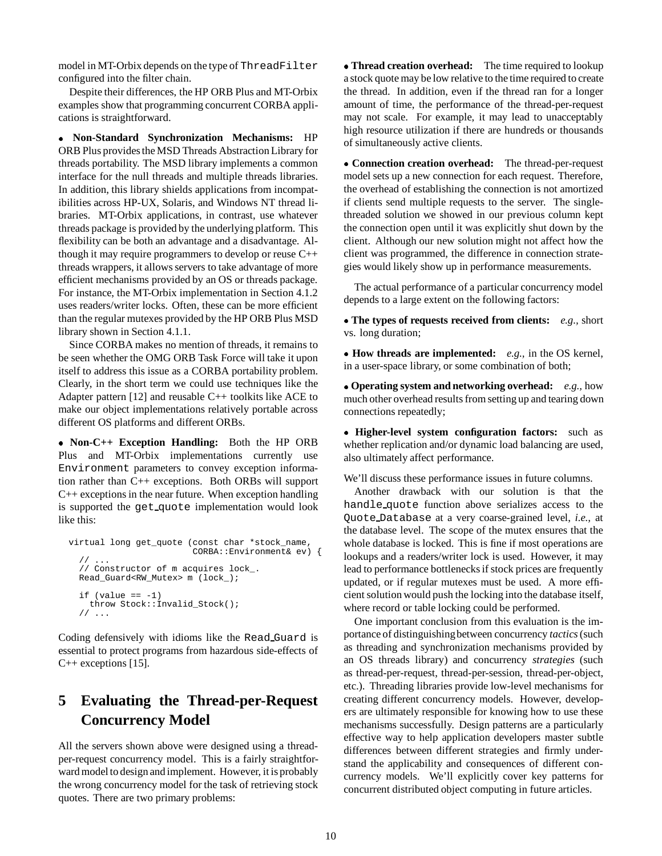model in MT-Orbix depends on the type of ThreadFilter configured into the filter chain.

Despite their differences, the HP ORB Plus and MT-Orbix examples show that programming concurrent CORBA applications is straightforward.

 **Non-Standard Synchronization Mechanisms:** HP ORB Plus provides the MSD Threads Abstraction Library for threads portability. The MSD library implements a common interface for the null threads and multiple threads libraries. In addition, this library shields applications from incompatibilities across HP-UX, Solaris, and Windows NT thread libraries. MT-Orbix applications, in contrast, use whatever threads package is provided by the underlying platform. This flexibility can be both an advantage and a disadvantage. Although it may require programmers to develop or reuse C++ threads wrappers, it allows servers to take advantage of more efficient mechanisms provided by an OS or threads package. For instance, the MT-Orbix implementation in Section 4.1.2 uses readers/writer locks. Often, these can be more efficient than the regular mutexes provided by the HP ORB Plus MSD library shown in Section 4.1.1.

Since CORBA makes no mention of threads, it remains to be seen whether the OMG ORB Task Force will take it upon itself to address this issue as a CORBA portability problem. Clearly, in the short term we could use techniques like the Adapter pattern [12] and reusable C++ toolkits like ACE to make our object implementations relatively portable across different OS platforms and different ORBs.

 **Non-C++ Exception Handling:** Both the HP ORB Plus and MT-Orbix implementations currently use Environment parameters to convey exception information rather than C++ exceptions. Both ORBs will support C++ exceptions in the near future. When exception handling is supported the get<sub>-quote</sub> implementation would look like this:

```
virtual long get_quote (const char *stock_name,
                         CORBA::Environment& ev) {
     // ...
  // Constructor of m acquires lock_.
 Read_Guard<RW_Mutex> m (lock_);
  if (value == -1)throw Stock::Invalid_Stock();
  // ...
```
Coding defensively with idioms like the Read Guard is essential to protect programs from hazardous side-effects of C++ exceptions [15].

# **5 Evaluating the Thread-per-Request Concurrency Model**

All the servers shown above were designed using a threadper-request concurrency model. This is a fairly straightforward model to design and implement. However, it is probably the wrong concurrency model for the task of retrieving stock quotes. There are two primary problems:

 **Thread creation overhead:** The time required to lookup a stock quote may be low relative to the time required to create the thread. In addition, even if the thread ran for a longer amount of time, the performance of the thread-per-request may not scale. For example, it may lead to unacceptably high resource utilization if there are hundreds or thousands of simultaneously active clients.

 **Connection creation overhead:** The thread-per-request model sets up a new connection for each request. Therefore, the overhead of establishing the connection is not amortized if clients send multiple requests to the server. The singlethreaded solution we showed in our previous column kept the connection open until it was explicitly shut down by the client. Although our new solution might not affect how the client was programmed, the difference in connection strategies would likely show up in performance measurements.

The actual performance of a particular concurrency model depends to a large extent on the following factors:

 **The types of requests received from clients:** *e.g.,* short vs. long duration;

 **How threads are implemented:** *e.g.,* in the OS kernel, in a user-space library, or some combination of both;

 **Operating system and networking overhead:** *e.g.,* how much other overhead results from setting up and tearing down connections repeatedly;

 **Higher-level system configuration factors:** such as whether replication and/or dynamic load balancing are used, also ultimately affect performance.

We'll discuss these performance issues in future columns.

Another drawback with our solution is that the handle quote function above serializes access to the Quote Database at a very coarse-grained level, *i.e.,* at the database level. The scope of the mutex ensures that the whole database is locked. This is fine if most operations are lookups and a readers/writer lock is used. However, it may lead to performance bottlenecks if stock prices are frequently updated, or if regular mutexes must be used. A more efficient solution would push the locking into the database itself, where record or table locking could be performed.

One important conclusion from this evaluation is the importance of distinguishingbetween concurrency *tactics*(such as threading and synchronization mechanisms provided by an OS threads library) and concurrency *strategies* (such as thread-per-request, thread-per-session, thread-per-object, etc.). Threading libraries provide low-level mechanisms for creating different concurrency models. However, developers are ultimately responsible for knowing how to use these mechanisms successfully. Design patterns are a particularly effective way to help application developers master subtle differences between different strategies and firmly understand the applicability and consequences of different concurrency models. We'll explicitly cover key patterns for concurrent distributed object computing in future articles.